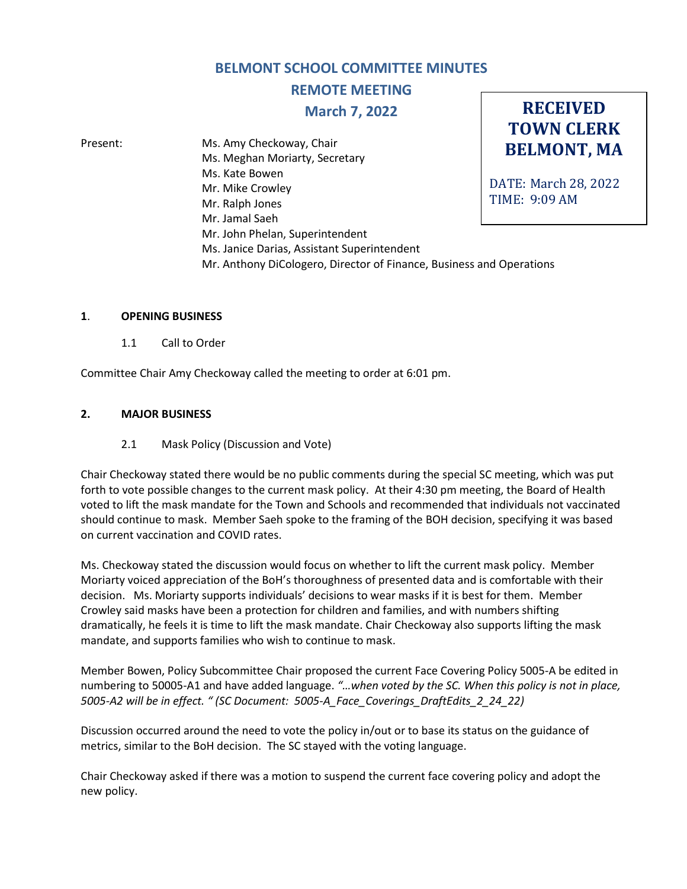# **BELMONT SCHOOL COMMITTEE MINUTES**

**REMOTE MEETING**

**March 7, 2022**

**RECEIVED**

**TOWN CLERK BELMONT, MA** DATE: March 28, 2022 TIME: 9:09 AM Present: Ms. Amy Checkoway, Chair Ms. Meghan Moriarty, Secretary Ms. Kate Bowen Mr. Mike Crowley Mr. Ralph Jones Mr. Jamal Saeh Mr. John Phelan, Superintendent Ms. Janice Darias, Assistant Superintendent Mr. Anthony DiCologero, Director of Finance, Business and Operations

#### **1**. **OPENING BUSINESS**

1.1 Call to Order

Committee Chair Amy Checkoway called the meeting to order at 6:01 pm.

## **2. MAJOR BUSINESS**

### 2.1 Mask Policy (Discussion and Vote)

Chair Checkoway stated there would be no public comments during the special SC meeting, which was put forth to vote possible changes to the current mask policy. At their 4:30 pm meeting, the Board of Health voted to lift the mask mandate for the Town and Schools and recommended that individuals not vaccinated should continue to mask. Member Saeh spoke to the framing of the BOH decision, specifying it was based on current vaccination and COVID rates.

Ms. Checkoway stated the discussion would focus on whether to lift the current mask policy. Member Moriarty voiced appreciation of the BoH's thoroughness of presented data and is comfortable with their decision. Ms. Moriarty supports individuals' decisions to wear masks if it is best for them. Member Crowley said masks have been a protection for children and families, and with numbers shifting dramatically, he feels it is time to lift the mask mandate. Chair Checkoway also supports lifting the mask mandate, and supports families who wish to continue to mask.

Member Bowen, Policy Subcommittee Chair proposed the current Face Covering Policy 5005-A be edited in numbering to 50005-A1 and have added language. *"…when voted by the SC. When this policy is not in place, 5005-A2 will be in effect. " (SC Document: 5005-A\_Face\_Coverings\_DraftEdits\_2\_24\_22)*

Discussion occurred around the need to vote the policy in/out or to base its status on the guidance of metrics, similar to the BoH decision. The SC stayed with the voting language.

Chair Checkoway asked if there was a motion to suspend the current face covering policy and adopt the new policy.